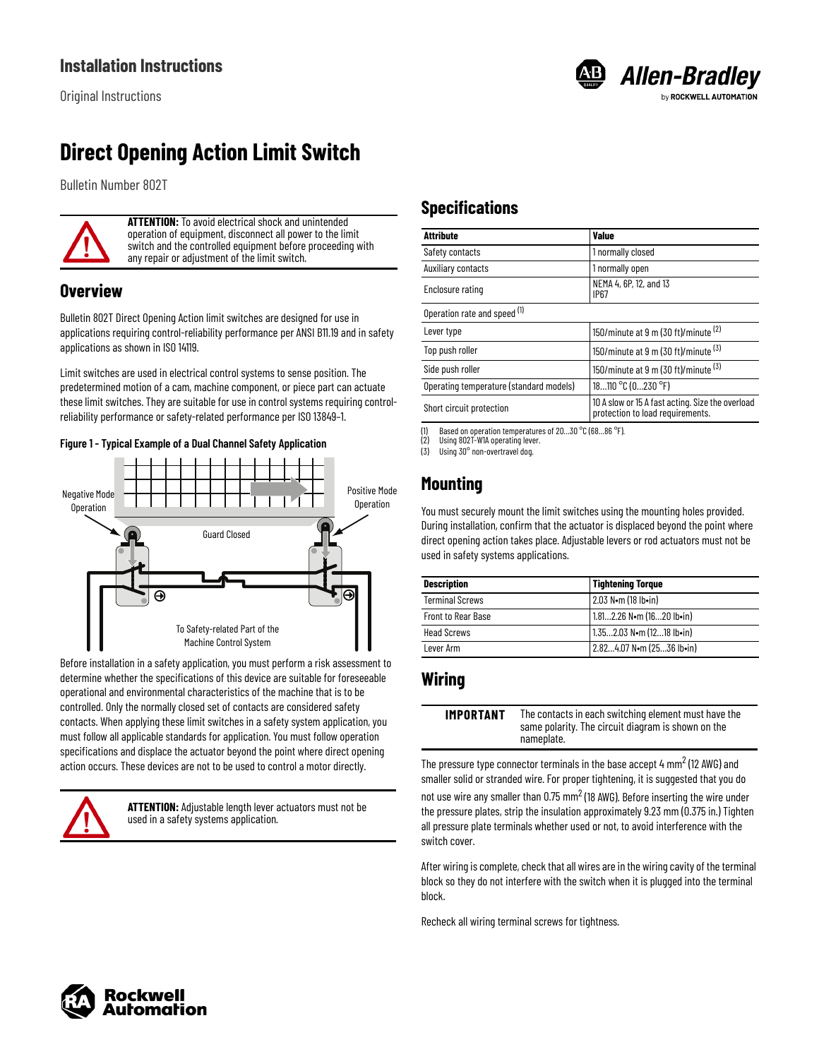# **Direct Opening Action Limit Switch**

Bulletin Number 802T



**ATTENTION:** To avoid electrical shock and unintended operation of equipment, disconnect all power to the limit switch and the controlled equipment before proceeding with any repair or adjustment of the limit switch.

### **Overview**

Bulletin 802T Direct Opening Action limit switches are designed for use in applications requiring control-reliability performance per ANSI B11.19 and in safety applications as shown in ISO 14119.

Limit switches are used in electrical control systems to sense position. The predetermined motion of a cam, machine component, or piece part can actuate these limit switches. They are suitable for use in control systems requiring controlreliability performance or safety-related performance per ISO 13849–1.

#### **Figure 1 - Typical Example of a Dual Channel Safety Application**



Before installation in a safety application, you must perform a risk assessment to determine whether the specifications of this device are suitable for foreseeable operational and environmental characteristics of the machine that is to be controlled. Only the normally closed set of contacts are considered safety contacts. When applying these limit switches in a safety system application, you must follow all applicable standards for application. You must follow operation specifications and displace the actuator beyond the point where direct opening action occurs. These devices are not to be used to control a motor directly.



**ATTENTION:** Adjustable length lever actuators must not be used in a safety systems application.

# **Specifications**

| <b>Attribute</b>                        | <b>Value</b>                                                                         |  |
|-----------------------------------------|--------------------------------------------------------------------------------------|--|
| Safety contacts                         | 1 normally closed                                                                    |  |
| <b>Auxiliary contacts</b>               | 1 normally open                                                                      |  |
| Enclosure rating                        | NEMA 4, 6P, 12, and 13<br><b>IP67</b>                                                |  |
| Operation rate and speed (1)            |                                                                                      |  |
| Lever type                              | 150/minute at 9 m (30 ft)/minute (2)                                                 |  |
| Top push roller                         | 150/minute at 9 m (30 ft)/minute $(3)$                                               |  |
| Side push roller                        | 150/minute at 9 m (30 ft)/minute $(3)$                                               |  |
| Operating temperature (standard models) | 18110 °C (0230 °F)                                                                   |  |
| Short circuit protection                | 10 A slow or 15 A fast acting. Size the overload<br>protection to load requirements. |  |

**B** Allen-Bradley

ROCKWELL AUTOMATION

(1) Based on operation temperatures of  $20...30$  °C (68...86 °F).<br>(2) Using 802T-W1A operating lever.

<span id="page-0-0"></span>Using 802T-W1A operating lever. (3) Using 30° non-overtravel dog.

## **Mounting**

You must securely mount the limit switches using the mounting holes provided. During installation, confirm that the actuator is displaced beyond the point where direct opening action takes place. Adjustable levers or rod actuators must not be used in safety systems applications.

| <b>Description</b>        | <b>Tightening Torque</b>                      |
|---------------------------|-----------------------------------------------|
| <b>Terminal Screws</b>    | 2.03 N•m (18 lb•in)                           |
| <b>Front to Rear Base</b> | 1.812.26 N $\bullet$ m (1620 lb $\bullet$ in) |
| <b>Head Screws</b>        | 1.352.03 N.m (1218 lb.in)                     |
| Lever Arm                 | 2.824.07 N.m (2536 lb.in)                     |

### **Wiring**

| <b>IMPORTANT</b> | The contacts in each switching element must have the |
|------------------|------------------------------------------------------|
|                  | same polarity. The circuit diagram is shown on the   |
|                  | nameplate.                                           |

The pressure type connector terminals in the base accept 4  $\mathrm{mm}^2$  (12 AWG) and smaller solid or stranded wire. For proper tightening, it is suggested that you do not use wire any smaller than 0.75  $\text{mm}^2$  (18 AWG). Before inserting the wire under the pressure plates, strip the insulation approximately 9.23 mm (0.375 in.) Tighten all pressure plate terminals whether used or not, to avoid interference with the switch cover.

After wiring is complete, check that all wires are in the wiring cavity of the terminal block so they do not interfere with the switch when it is plugged into the terminal block.

Recheck all wiring terminal screws for tightness.